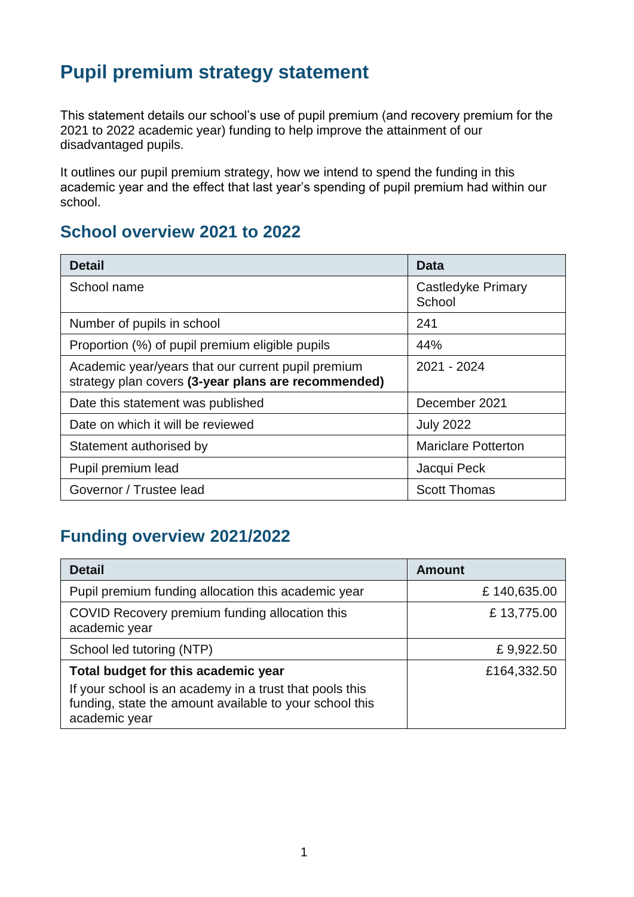## **Pupil premium strategy statement**

This statement details our school's use of pupil premium (and recovery premium for the 2021 to 2022 academic year) funding to help improve the attainment of our disadvantaged pupils.

It outlines our pupil premium strategy, how we intend to spend the funding in this academic year and the effect that last year's spending of pupil premium had within our school.

#### **School overview 2021 to 2022**

| <b>Detail</b>                                                                                             | Data                         |
|-----------------------------------------------------------------------------------------------------------|------------------------------|
| School name                                                                                               | Castledyke Primary<br>School |
| Number of pupils in school                                                                                | 241                          |
| Proportion (%) of pupil premium eligible pupils                                                           | 44%                          |
| Academic year/years that our current pupil premium<br>strategy plan covers (3-year plans are recommended) | 2021 - 2024                  |
| Date this statement was published                                                                         | December 2021                |
| Date on which it will be reviewed                                                                         | <b>July 2022</b>             |
| Statement authorised by                                                                                   | <b>Mariclare Potterton</b>   |
| Pupil premium lead                                                                                        | Jacqui Peck                  |
| Governor / Trustee lead                                                                                   | <b>Scott Thomas</b>          |

### **Funding overview 2021/2022**

| <b>Detail</b>                                                                                                                       | <b>Amount</b> |
|-------------------------------------------------------------------------------------------------------------------------------------|---------------|
| Pupil premium funding allocation this academic year                                                                                 | £140,635.00   |
| COVID Recovery premium funding allocation this<br>academic year                                                                     | £13,775.00    |
| School led tutoring (NTP)                                                                                                           | £9,922.50     |
| Total budget for this academic year                                                                                                 | £164,332.50   |
| If your school is an academy in a trust that pools this<br>funding, state the amount available to your school this<br>academic year |               |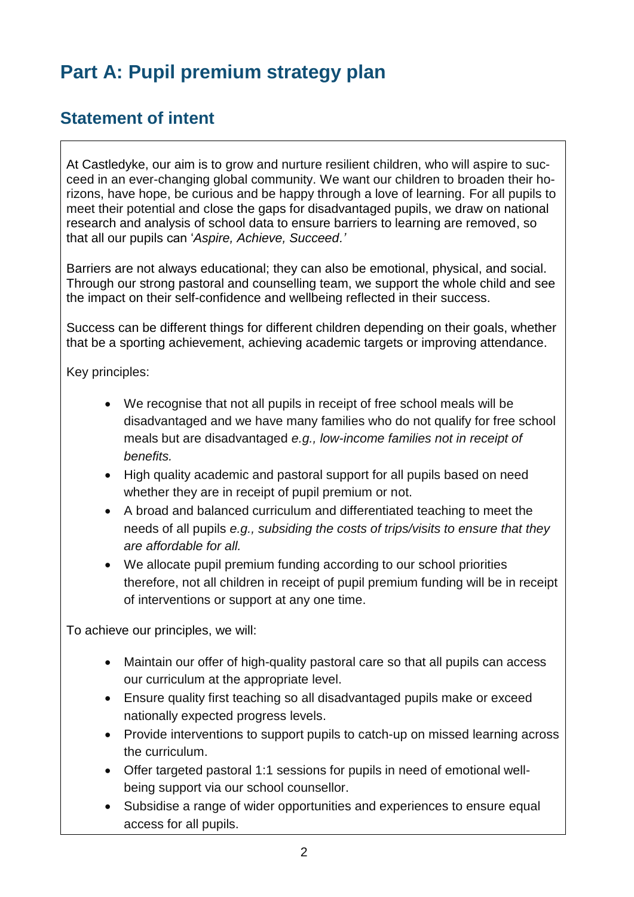## **Part A: Pupil premium strategy plan**

### **Statement of intent**

At Castledyke, our aim is to grow and nurture resilient children, who will aspire to succeed in an ever-changing global community. We want our children to broaden their horizons, have hope, be curious and be happy through a love of learning. For all pupils to meet their potential and close the gaps for disadvantaged pupils, we draw on national research and analysis of school data to ensure barriers to learning are removed, so that all our pupils can '*Aspire, Achieve, Succeed.'*

Barriers are not always educational; they can also be emotional, physical, and social. Through our strong pastoral and counselling team, we support the whole child and see the impact on their self-confidence and wellbeing reflected in their success.

Success can be different things for different children depending on their goals, whether that be a sporting achievement, achieving academic targets or improving attendance.

Key principles:

- We recognise that not all pupils in receipt of free school meals will be disadvantaged and we have many families who do not qualify for free school meals but are disadvantaged *e.g., low-income families not in receipt of benefits.*
- High quality academic and pastoral support for all pupils based on need whether they are in receipt of pupil premium or not.
- A broad and balanced curriculum and differentiated teaching to meet the needs of all pupils *e.g., subsiding the costs of trips/visits to ensure that they are affordable for all.*
- We allocate pupil premium funding according to our school priorities therefore, not all children in receipt of pupil premium funding will be in receipt of interventions or support at any one time.

To achieve our principles, we will:

- Maintain our offer of high-quality pastoral care so that all pupils can access our curriculum at the appropriate level.
- Ensure quality first teaching so all disadvantaged pupils make or exceed nationally expected progress levels.
- Provide interventions to support pupils to catch-up on missed learning across the curriculum.
- Offer targeted pastoral 1:1 sessions for pupils in need of emotional wellbeing support via our school counsellor.
- Subsidise a range of wider opportunities and experiences to ensure equal access for all pupils.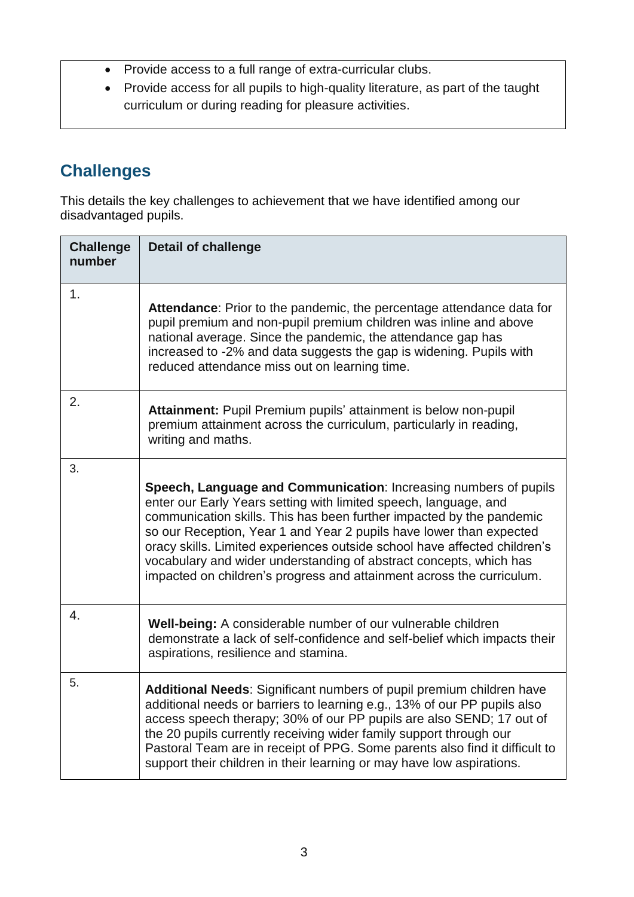- Provide access to a full range of extra-curricular clubs.
- Provide access for all pupils to high-quality literature, as part of the taught curriculum or during reading for pleasure activities.

### **Challenges**

This details the key challenges to achievement that we have identified among our disadvantaged pupils.

| <b>Challenge</b><br>number | <b>Detail of challenge</b>                                                                                                                                                                                                                                                                                                                                                                                                                                                                                      |
|----------------------------|-----------------------------------------------------------------------------------------------------------------------------------------------------------------------------------------------------------------------------------------------------------------------------------------------------------------------------------------------------------------------------------------------------------------------------------------------------------------------------------------------------------------|
| 1.                         | <b>Attendance:</b> Prior to the pandemic, the percentage attendance data for<br>pupil premium and non-pupil premium children was inline and above<br>national average. Since the pandemic, the attendance gap has<br>increased to -2% and data suggests the gap is widening. Pupils with<br>reduced attendance miss out on learning time.                                                                                                                                                                       |
| 2.                         | Attainment: Pupil Premium pupils' attainment is below non-pupil<br>premium attainment across the curriculum, particularly in reading,<br>writing and maths.                                                                                                                                                                                                                                                                                                                                                     |
| 3.                         | Speech, Language and Communication: Increasing numbers of pupils<br>enter our Early Years setting with limited speech, language, and<br>communication skills. This has been further impacted by the pandemic<br>so our Reception, Year 1 and Year 2 pupils have lower than expected<br>oracy skills. Limited experiences outside school have affected children's<br>vocabulary and wider understanding of abstract concepts, which has<br>impacted on children's progress and attainment across the curriculum. |
| 4.                         | Well-being: A considerable number of our vulnerable children<br>demonstrate a lack of self-confidence and self-belief which impacts their<br>aspirations, resilience and stamina.                                                                                                                                                                                                                                                                                                                               |
| 5.                         | Additional Needs: Significant numbers of pupil premium children have<br>additional needs or barriers to learning e.g., 13% of our PP pupils also<br>access speech therapy; 30% of our PP pupils are also SEND; 17 out of<br>the 20 pupils currently receiving wider family support through our<br>Pastoral Team are in receipt of PPG. Some parents also find it difficult to<br>support their children in their learning or may have low aspirations.                                                          |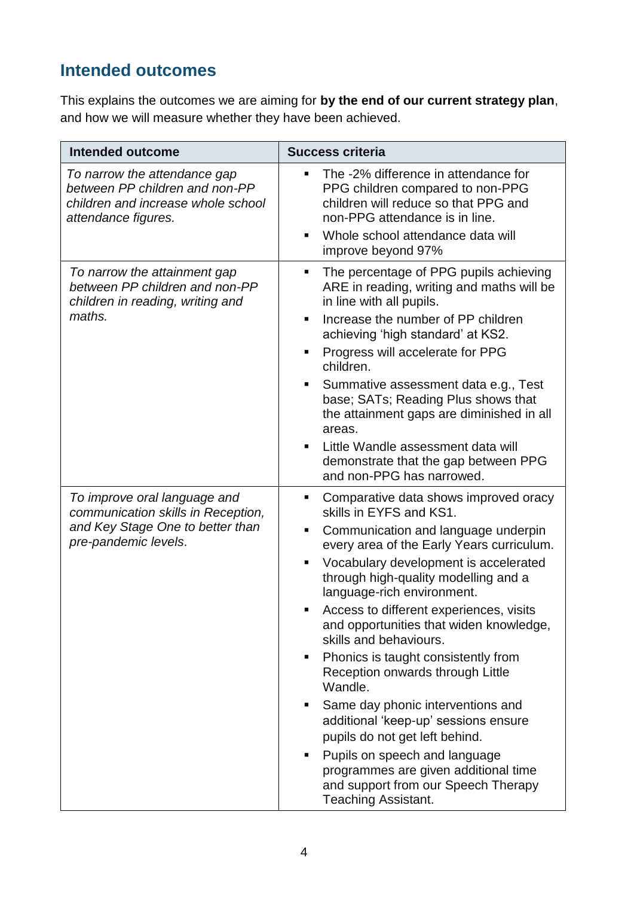### **Intended outcomes**

This explains the outcomes we are aiming for **by the end of our current strategy plan**, and how we will measure whether they have been achieved.

| <b>Intended outcome</b>                                                                                                        | <b>Success criteria</b>                                                                                                                                                                                                                                                                                                                                                                                                                                                                                                                                                                                                                                                                                                                                       |
|--------------------------------------------------------------------------------------------------------------------------------|---------------------------------------------------------------------------------------------------------------------------------------------------------------------------------------------------------------------------------------------------------------------------------------------------------------------------------------------------------------------------------------------------------------------------------------------------------------------------------------------------------------------------------------------------------------------------------------------------------------------------------------------------------------------------------------------------------------------------------------------------------------|
| To narrow the attendance gap<br>between PP children and non-PP<br>children and increase whole school<br>attendance figures.    | The -2% difference in attendance for<br>٠<br>PPG children compared to non-PPG<br>children will reduce so that PPG and<br>non-PPG attendance is in line.<br>Whole school attendance data will<br>٠<br>improve beyond 97%                                                                                                                                                                                                                                                                                                                                                                                                                                                                                                                                       |
| To narrow the attainment gap<br>between PP children and non-PP<br>children in reading, writing and<br>maths.                   | The percentage of PPG pupils achieving<br>٠<br>ARE in reading, writing and maths will be<br>in line with all pupils.<br>Increase the number of PP children<br>$\blacksquare$<br>achieving 'high standard' at KS2.<br>Progress will accelerate for PPG<br>п<br>children.<br>Summative assessment data e.g., Test<br>٠<br>base; SATs; Reading Plus shows that<br>the attainment gaps are diminished in all<br>areas.<br>Little Wandle assessment data will<br>$\blacksquare$<br>demonstrate that the gap between PPG<br>and non-PPG has narrowed.                                                                                                                                                                                                               |
| To improve oral language and<br>communication skills in Reception,<br>and Key Stage One to better than<br>pre-pandemic levels. | Comparative data shows improved oracy<br>٠<br>skills in EYFS and KS1.<br>Communication and language underpin<br>٠<br>every area of the Early Years curriculum.<br>Vocabulary development is accelerated<br>٠<br>through high-quality modelling and a<br>language-rich environment.<br>Access to different experiences, visits<br>and opportunities that widen knowledge,<br>skills and behaviours.<br>Phonics is taught consistently from<br>٠<br>Reception onwards through Little<br>Wandle.<br>Same day phonic interventions and<br>ш<br>additional 'keep-up' sessions ensure<br>pupils do not get left behind.<br>Pupils on speech and language<br>ш<br>programmes are given additional time<br>and support from our Speech Therapy<br>Teaching Assistant. |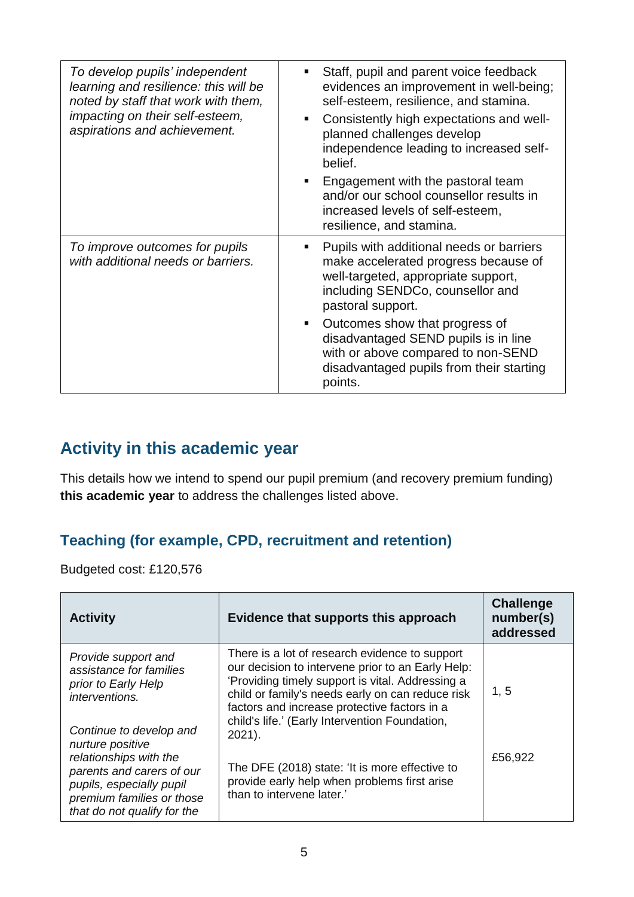| To develop pupils' independent<br>learning and resilience: this will be<br>noted by staff that work with them,<br>impacting on their self-esteem,<br>aspirations and achievement. | Staff, pupil and parent voice feedback<br>evidences an improvement in well-being;<br>self-esteem, resilience, and stamina.<br>Consistently high expectations and well-<br>planned challenges develop<br>independence leading to increased self-<br>belief.<br>Engagement with the pastoral team<br>and/or our school counsellor results in<br>increased levels of self-esteem,<br>resilience, and stamina. |
|-----------------------------------------------------------------------------------------------------------------------------------------------------------------------------------|------------------------------------------------------------------------------------------------------------------------------------------------------------------------------------------------------------------------------------------------------------------------------------------------------------------------------------------------------------------------------------------------------------|
| To improve outcomes for pupils<br>with additional needs or barriers.                                                                                                              | Pupils with additional needs or barriers<br>make accelerated progress because of<br>well-targeted, appropriate support,<br>including SENDCo, counsellor and<br>pastoral support.<br>Outcomes show that progress of<br>disadvantaged SEND pupils is in line<br>with or above compared to non-SEND<br>disadvantaged pupils from their starting<br>points.                                                    |

### **Activity in this academic year**

This details how we intend to spend our pupil premium (and recovery premium funding) **this academic year** to address the challenges listed above.

#### **Teaching (for example, CPD, recruitment and retention)**

Budgeted cost: £120,576

| <b>Activity</b>                                                                                                                                                 | Evidence that supports this approach                                                                                                                                                                                                                                                                                       | <b>Challenge</b><br>number(s)<br>addressed |
|-----------------------------------------------------------------------------------------------------------------------------------------------------------------|----------------------------------------------------------------------------------------------------------------------------------------------------------------------------------------------------------------------------------------------------------------------------------------------------------------------------|--------------------------------------------|
| Provide support and<br>assistance for families<br>prior to Early Help<br>interventions.<br>Continue to develop and                                              | There is a lot of research evidence to support<br>our decision to intervene prior to an Early Help:<br>'Providing timely support is vital. Addressing a<br>child or family's needs early on can reduce risk<br>factors and increase protective factors in a<br>child's life.' (Early Intervention Foundation,<br>$2021$ ). | 1, 5                                       |
| nurture positive<br>relationships with the<br>parents and carers of our<br>pupils, especially pupil<br>premium families or those<br>that do not qualify for the | The DFE (2018) state: 'It is more effective to<br>provide early help when problems first arise<br>than to intervene later.'                                                                                                                                                                                                | £56,922                                    |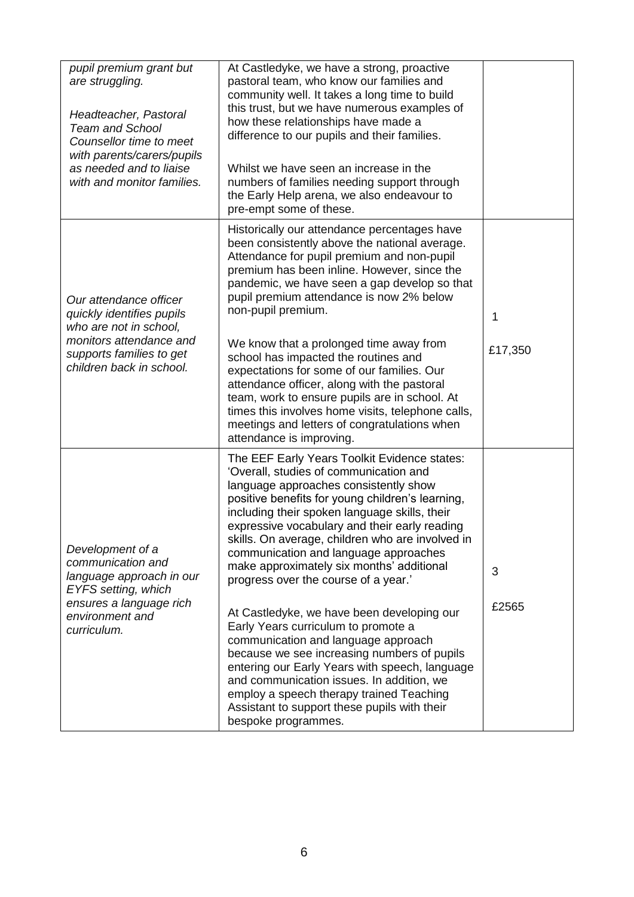| pupil premium grant but<br>are struggling.<br>Headteacher, Pastoral<br><b>Team and School</b><br>Counsellor time to meet<br>with parents/carers/pupils<br>as needed and to liaise<br>with and monitor families. | At Castledyke, we have a strong, proactive<br>pastoral team, who know our families and<br>community well. It takes a long time to build<br>this trust, but we have numerous examples of<br>how these relationships have made a<br>difference to our pupils and their families.<br>Whilst we have seen an increase in the<br>numbers of families needing support through<br>the Early Help arena, we also endeavour to<br>pre-empt some of these.                                                                                                                                                                                                                                                                                                                                                                                                                     |              |
|-----------------------------------------------------------------------------------------------------------------------------------------------------------------------------------------------------------------|----------------------------------------------------------------------------------------------------------------------------------------------------------------------------------------------------------------------------------------------------------------------------------------------------------------------------------------------------------------------------------------------------------------------------------------------------------------------------------------------------------------------------------------------------------------------------------------------------------------------------------------------------------------------------------------------------------------------------------------------------------------------------------------------------------------------------------------------------------------------|--------------|
| Our attendance officer<br>quickly identifies pupils<br>who are not in school,<br>monitors attendance and<br>supports families to get<br>children back in school.                                                | Historically our attendance percentages have<br>been consistently above the national average.<br>Attendance for pupil premium and non-pupil<br>premium has been inline. However, since the<br>pandemic, we have seen a gap develop so that<br>pupil premium attendance is now 2% below<br>non-pupil premium.<br>We know that a prolonged time away from<br>school has impacted the routines and<br>expectations for some of our families. Our<br>attendance officer, along with the pastoral<br>team, work to ensure pupils are in school. At<br>times this involves home visits, telephone calls,<br>meetings and letters of congratulations when<br>attendance is improving.                                                                                                                                                                                       | 1<br>£17,350 |
| Development of a<br>communication and<br>language approach in our<br>EYFS setting, which<br>ensures a language rich<br>environment and<br>curriculum.                                                           | The EEF Early Years Toolkit Evidence states:<br>'Overall, studies of communication and<br>language approaches consistently show<br>positive benefits for young children's learning,<br>including their spoken language skills, their<br>expressive vocabulary and their early reading<br>skills. On average, children who are involved in<br>communication and language approaches<br>make approximately six months' additional<br>progress over the course of a year.'<br>At Castledyke, we have been developing our<br>Early Years curriculum to promote a<br>communication and language approach<br>because we see increasing numbers of pupils<br>entering our Early Years with speech, language<br>and communication issues. In addition, we<br>employ a speech therapy trained Teaching<br>Assistant to support these pupils with their<br>bespoke programmes. | 3<br>£2565   |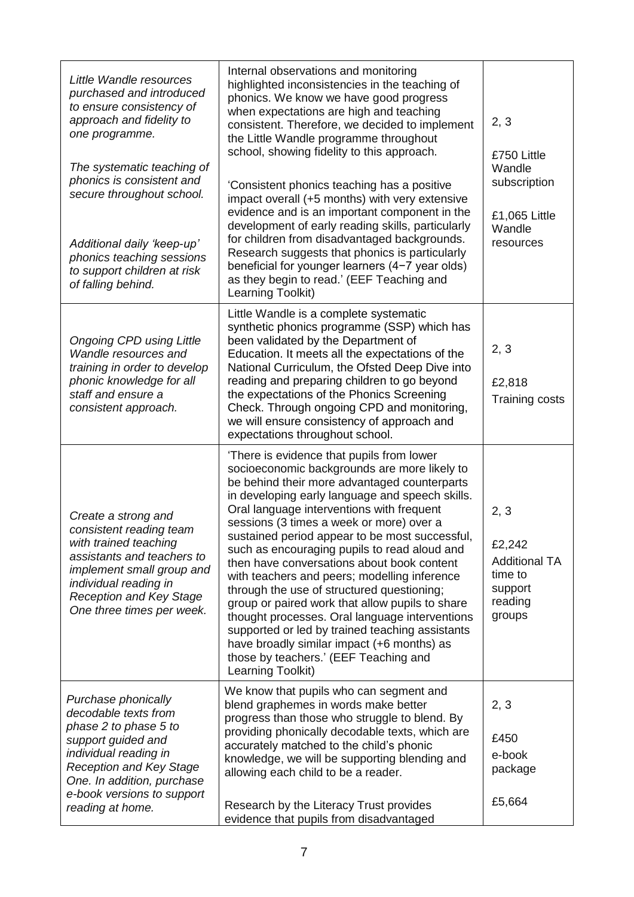| Little Wandle resources<br>purchased and introduced<br>to ensure consistency of<br>approach and fidelity to<br>one programme.<br>The systematic teaching of<br>phonics is consistent and<br>secure throughout school.<br>Additional daily 'keep-up'<br>phonics teaching sessions<br>to support children at risk<br>of falling behind. | Internal observations and monitoring<br>highlighted inconsistencies in the teaching of<br>phonics. We know we have good progress<br>when expectations are high and teaching<br>consistent. Therefore, we decided to implement<br>the Little Wandle programme throughout<br>school, showing fidelity to this approach.<br>'Consistent phonics teaching has a positive<br>impact overall (+5 months) with very extensive<br>evidence and is an important component in the<br>development of early reading skills, particularly<br>for children from disadvantaged backgrounds.<br>Research suggests that phonics is particularly<br>beneficial for younger learners (4-7 year olds)<br>as they begin to read.' (EEF Teaching and<br>Learning Toolkit)                                                     | 2, 3<br>£750 Little<br>Wandle<br>subscription<br>£1,065 Little<br>Wandle<br>resources |
|---------------------------------------------------------------------------------------------------------------------------------------------------------------------------------------------------------------------------------------------------------------------------------------------------------------------------------------|---------------------------------------------------------------------------------------------------------------------------------------------------------------------------------------------------------------------------------------------------------------------------------------------------------------------------------------------------------------------------------------------------------------------------------------------------------------------------------------------------------------------------------------------------------------------------------------------------------------------------------------------------------------------------------------------------------------------------------------------------------------------------------------------------------|---------------------------------------------------------------------------------------|
| <b>Ongoing CPD using Little</b><br>Wandle resources and<br>training in order to develop<br>phonic knowledge for all<br>staff and ensure a<br>consistent approach.                                                                                                                                                                     | Little Wandle is a complete systematic<br>synthetic phonics programme (SSP) which has<br>been validated by the Department of<br>Education. It meets all the expectations of the<br>National Curriculum, the Ofsted Deep Dive into<br>reading and preparing children to go beyond<br>the expectations of the Phonics Screening<br>Check. Through ongoing CPD and monitoring,<br>we will ensure consistency of approach and<br>expectations throughout school.                                                                                                                                                                                                                                                                                                                                            | 2, 3<br>£2,818<br><b>Training costs</b>                                               |
| Create a strong and<br>consistent reading team<br>with trained teaching<br>assistants and teachers to<br>implement small group and<br>individual reading in<br><b>Reception and Key Stage</b><br>One three times per week.                                                                                                            | 'There is evidence that pupils from lower<br>socioeconomic backgrounds are more likely to<br>be behind their more advantaged counterparts<br>in developing early language and speech skills.<br>Oral language interventions with frequent<br>sessions (3 times a week or more) over a<br>sustained period appear to be most successful,<br>such as encouraging pupils to read aloud and<br>then have conversations about book content<br>with teachers and peers; modelling inference<br>through the use of structured questioning;<br>group or paired work that allow pupils to share<br>thought processes. Oral language interventions<br>supported or led by trained teaching assistants<br>have broadly similar impact (+6 months) as<br>those by teachers.' (EEF Teaching and<br>Learning Toolkit) | 2, 3<br>£2,242<br><b>Additional TA</b><br>time to<br>support<br>reading<br>groups     |
| Purchase phonically<br>decodable texts from<br>phase 2 to phase 5 to<br>support guided and<br>individual reading in<br><b>Reception and Key Stage</b><br>One. In addition, purchase<br>e-book versions to support<br>reading at home.                                                                                                 | We know that pupils who can segment and<br>blend graphemes in words make better<br>progress than those who struggle to blend. By<br>providing phonically decodable texts, which are<br>accurately matched to the child's phonic<br>knowledge, we will be supporting blending and<br>allowing each child to be a reader.<br>Research by the Literacy Trust provides<br>evidence that pupils from disadvantaged                                                                                                                                                                                                                                                                                                                                                                                           | 2, 3<br>£450<br>e-book<br>package<br>£5,664                                           |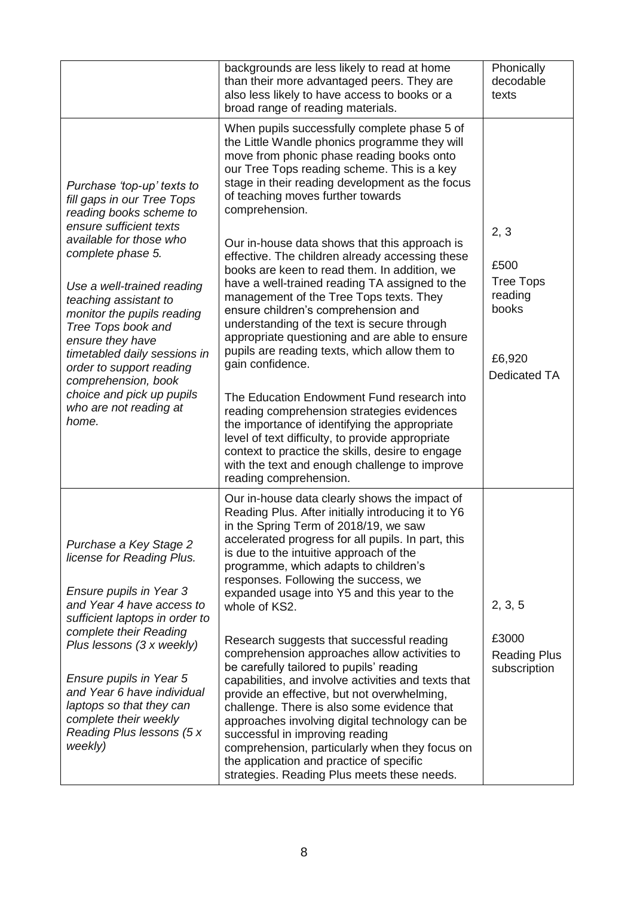|                                                                                                                                                                                                                                                                                                                                                                                                                                                  | backgrounds are less likely to read at home<br>than their more advantaged peers. They are<br>also less likely to have access to books or a<br>broad range of reading materials.                                                                                                                                                                                                                                                                                                                                                                                                                                                                                                                                                                                                                                                                                                                                                                                                                                                                                                                   | Phonically<br>decodable<br>texts                                               |
|--------------------------------------------------------------------------------------------------------------------------------------------------------------------------------------------------------------------------------------------------------------------------------------------------------------------------------------------------------------------------------------------------------------------------------------------------|---------------------------------------------------------------------------------------------------------------------------------------------------------------------------------------------------------------------------------------------------------------------------------------------------------------------------------------------------------------------------------------------------------------------------------------------------------------------------------------------------------------------------------------------------------------------------------------------------------------------------------------------------------------------------------------------------------------------------------------------------------------------------------------------------------------------------------------------------------------------------------------------------------------------------------------------------------------------------------------------------------------------------------------------------------------------------------------------------|--------------------------------------------------------------------------------|
| Purchase 'top-up' texts to<br>fill gaps in our Tree Tops<br>reading books scheme to<br>ensure sufficient texts<br>available for those who<br>complete phase 5.<br>Use a well-trained reading<br>teaching assistant to<br>monitor the pupils reading<br>Tree Tops book and<br>ensure they have<br>timetabled daily sessions in<br>order to support reading<br>comprehension, book<br>choice and pick up pupils<br>who are not reading at<br>home. | When pupils successfully complete phase 5 of<br>the Little Wandle phonics programme they will<br>move from phonic phase reading books onto<br>our Tree Tops reading scheme. This is a key<br>stage in their reading development as the focus<br>of teaching moves further towards<br>comprehension.<br>Our in-house data shows that this approach is<br>effective. The children already accessing these<br>books are keen to read them. In addition, we<br>have a well-trained reading TA assigned to the<br>management of the Tree Tops texts. They<br>ensure children's comprehension and<br>understanding of the text is secure through<br>appropriate questioning and are able to ensure<br>pupils are reading texts, which allow them to<br>gain confidence.<br>The Education Endowment Fund research into<br>reading comprehension strategies evidences<br>the importance of identifying the appropriate<br>level of text difficulty, to provide appropriate<br>context to practice the skills, desire to engage<br>with the text and enough challenge to improve<br>reading comprehension. | 2, 3<br>£500<br><b>Tree Tops</b><br>reading<br>books<br>£6,920<br>Dedicated TA |
| Purchase a Key Stage 2<br>license for Reading Plus.<br>Ensure pupils in Year 3<br>and Year 4 have access to<br>sufficient laptops in order to<br>complete their Reading<br>Plus lessons (3 x weekly)<br>Ensure pupils in Year 5<br>and Year 6 have individual<br>laptops so that they can<br>complete their weekly<br>Reading Plus lessons (5 x<br>weekly)                                                                                       | Our in-house data clearly shows the impact of<br>Reading Plus. After initially introducing it to Y6<br>in the Spring Term of 2018/19, we saw<br>accelerated progress for all pupils. In part, this<br>is due to the intuitive approach of the<br>programme, which adapts to children's<br>responses. Following the success, we<br>expanded usage into Y5 and this year to the<br>whole of KS2.<br>Research suggests that successful reading<br>comprehension approaches allow activities to<br>be carefully tailored to pupils' reading<br>capabilities, and involve activities and texts that<br>provide an effective, but not overwhelming,<br>challenge. There is also some evidence that<br>approaches involving digital technology can be<br>successful in improving reading<br>comprehension, particularly when they focus on<br>the application and practice of specific<br>strategies. Reading Plus meets these needs.                                                                                                                                                                    | 2, 3, 5<br>£3000<br><b>Reading Plus</b><br>subscription                        |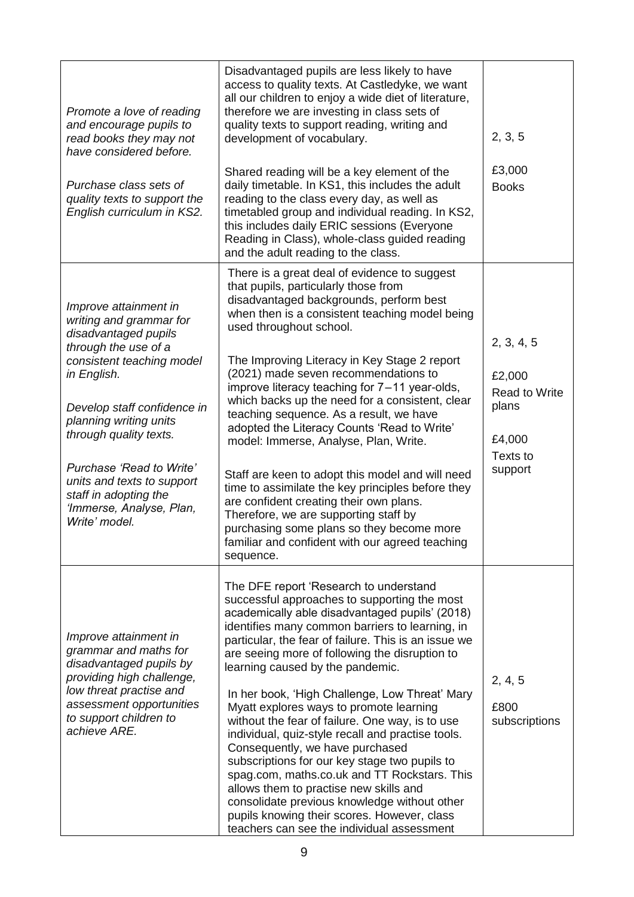| Promote a love of reading<br>and encourage pupils to<br>read books they may not<br>have considered before.<br>Purchase class sets of<br>quality texts to support the<br>English curriculum in KS2.                                                                                                                                                              | Disadvantaged pupils are less likely to have<br>access to quality texts. At Castledyke, we want<br>all our children to enjoy a wide diet of literature,<br>therefore we are investing in class sets of<br>quality texts to support reading, writing and<br>development of vocabulary.<br>Shared reading will be a key element of the<br>daily timetable. In KS1, this includes the adult<br>reading to the class every day, as well as<br>timetabled group and individual reading. In KS2,<br>this includes daily ERIC sessions (Everyone<br>Reading in Class), whole-class guided reading<br>and the adult reading to the class.                                                                                                                                                                                                                                         | 2, 3, 5<br>£3,000<br><b>Books</b>                                                      |
|-----------------------------------------------------------------------------------------------------------------------------------------------------------------------------------------------------------------------------------------------------------------------------------------------------------------------------------------------------------------|---------------------------------------------------------------------------------------------------------------------------------------------------------------------------------------------------------------------------------------------------------------------------------------------------------------------------------------------------------------------------------------------------------------------------------------------------------------------------------------------------------------------------------------------------------------------------------------------------------------------------------------------------------------------------------------------------------------------------------------------------------------------------------------------------------------------------------------------------------------------------|----------------------------------------------------------------------------------------|
| Improve attainment in<br>writing and grammar for<br>disadvantaged pupils<br>through the use of a<br>consistent teaching model<br>in English.<br>Develop staff confidence in<br>planning writing units<br>through quality texts.<br>Purchase 'Read to Write'<br>units and texts to support<br>staff in adopting the<br>'Immerse, Analyse, Plan,<br>Write' model. | There is a great deal of evidence to suggest<br>that pupils, particularly those from<br>disadvantaged backgrounds, perform best<br>when then is a consistent teaching model being<br>used throughout school.<br>The Improving Literacy in Key Stage 2 report<br>(2021) made seven recommendations to<br>improve literacy teaching for 7-11 year-olds,<br>which backs up the need for a consistent, clear<br>teaching sequence. As a result, we have<br>adopted the Literacy Counts 'Read to Write'<br>model: Immerse, Analyse, Plan, Write.<br>Staff are keen to adopt this model and will need<br>time to assimilate the key principles before they<br>are confident creating their own plans.<br>Therefore, we are supporting staff by<br>purchasing some plans so they become more<br>familiar and confident with our agreed teaching<br>sequence.                     | 2, 3, 4, 5<br>£2,000<br><b>Read to Write</b><br>plans<br>£4,000<br>Texts to<br>support |
| Improve attainment in<br>grammar and maths for<br>disadvantaged pupils by<br>providing high challenge,<br>low threat practise and<br>assessment opportunities<br>to support children to<br>achieve ARE.                                                                                                                                                         | The DFE report 'Research to understand<br>successful approaches to supporting the most<br>academically able disadvantaged pupils' (2018)<br>identifies many common barriers to learning, in<br>particular, the fear of failure. This is an issue we<br>are seeing more of following the disruption to<br>learning caused by the pandemic.<br>In her book, 'High Challenge, Low Threat' Mary<br>Myatt explores ways to promote learning<br>without the fear of failure. One way, is to use<br>individual, quiz-style recall and practise tools.<br>Consequently, we have purchased<br>subscriptions for our key stage two pupils to<br>spag.com, maths.co.uk and TT Rockstars. This<br>allows them to practise new skills and<br>consolidate previous knowledge without other<br>pupils knowing their scores. However, class<br>teachers can see the individual assessment | 2, 4, 5<br>£800<br>subscriptions                                                       |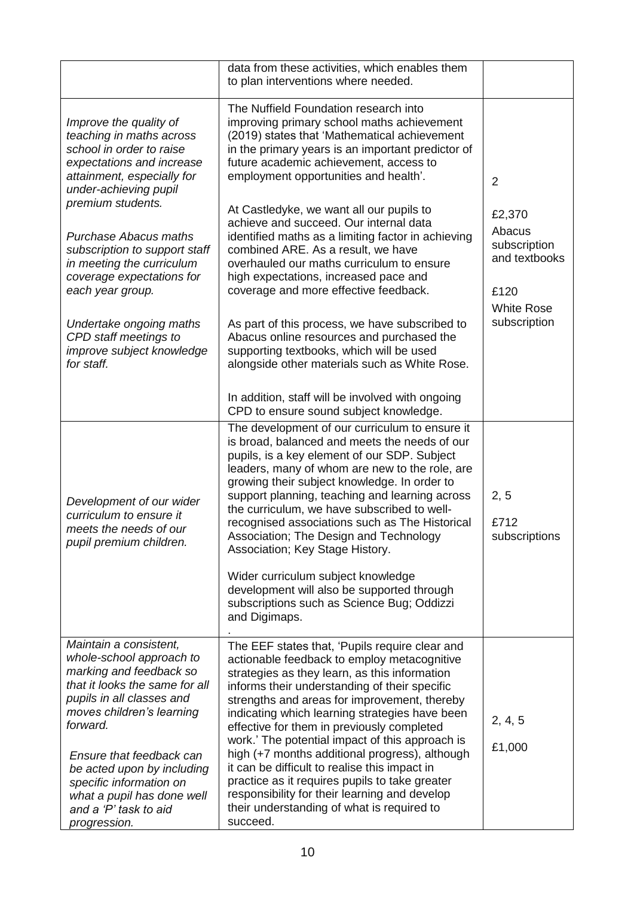|                                                                                                                                                                                                                                                                                                                                                   | data from these activities, which enables them<br>to plan interventions where needed.                                                                                                                                                                                                                                                                                                                                                                                                                                                                                                                                                                              |                                                                                                |
|---------------------------------------------------------------------------------------------------------------------------------------------------------------------------------------------------------------------------------------------------------------------------------------------------------------------------------------------------|--------------------------------------------------------------------------------------------------------------------------------------------------------------------------------------------------------------------------------------------------------------------------------------------------------------------------------------------------------------------------------------------------------------------------------------------------------------------------------------------------------------------------------------------------------------------------------------------------------------------------------------------------------------------|------------------------------------------------------------------------------------------------|
| Improve the quality of<br>teaching in maths across<br>school in order to raise<br>expectations and increase<br>attainment, especially for<br>under-achieving pupil                                                                                                                                                                                | The Nuffield Foundation research into<br>improving primary school maths achievement<br>(2019) states that 'Mathematical achievement<br>in the primary years is an important predictor of<br>future academic achievement, access to<br>employment opportunities and health'.                                                                                                                                                                                                                                                                                                                                                                                        | $\overline{2}$                                                                                 |
| premium students.<br><b>Purchase Abacus maths</b><br>subscription to support staff<br>in meeting the curriculum<br>coverage expectations for<br>each year group.<br>Undertake ongoing maths<br>CPD staff meetings to<br>improve subject knowledge                                                                                                 | At Castledyke, we want all our pupils to<br>achieve and succeed. Our internal data<br>identified maths as a limiting factor in achieving<br>combined ARE. As a result, we have<br>overhauled our maths curriculum to ensure<br>high expectations, increased pace and<br>coverage and more effective feedback.<br>As part of this process, we have subscribed to<br>Abacus online resources and purchased the<br>supporting textbooks, which will be used                                                                                                                                                                                                           | £2,370<br>Abacus<br>subscription<br>and textbooks<br>£120<br><b>White Rose</b><br>subscription |
| for staff.                                                                                                                                                                                                                                                                                                                                        | alongside other materials such as White Rose.<br>In addition, staff will be involved with ongoing<br>CPD to ensure sound subject knowledge.                                                                                                                                                                                                                                                                                                                                                                                                                                                                                                                        |                                                                                                |
| Development of our wider<br>curriculum to ensure it<br>meets the needs of our<br>pupil premium children.                                                                                                                                                                                                                                          | The development of our curriculum to ensure it<br>is broad, balanced and meets the needs of our<br>pupils, is a key element of our SDP. Subject<br>leaders, many of whom are new to the role, are<br>growing their subject knowledge. In order to<br>support planning, teaching and learning across<br>the curriculum, we have subscribed to well-<br>recognised associations such as The Historical<br>Association; The Design and Technology<br>Association; Key Stage History.<br>Wider curriculum subject knowledge<br>development will also be supported through<br>subscriptions such as Science Bug; Oddizzi<br>and Digimaps.                               | 2, 5<br>£712<br>subscriptions                                                                  |
| Maintain a consistent,<br>whole-school approach to<br>marking and feedback so<br>that it looks the same for all<br>pupils in all classes and<br>moves children's learning<br>forward.<br>Ensure that feedback can<br>be acted upon by including<br>specific information on<br>what a pupil has done well<br>and a 'P' task to aid<br>progression. | The EEF states that, 'Pupils require clear and<br>actionable feedback to employ metacognitive<br>strategies as they learn, as this information<br>informs their understanding of their specific<br>strengths and areas for improvement, thereby<br>indicating which learning strategies have been<br>effective for them in previously completed<br>work.' The potential impact of this approach is<br>high (+7 months additional progress), although<br>it can be difficult to realise this impact in<br>practice as it requires pupils to take greater<br>responsibility for their learning and develop<br>their understanding of what is required to<br>succeed. | 2, 4, 5<br>£1,000                                                                              |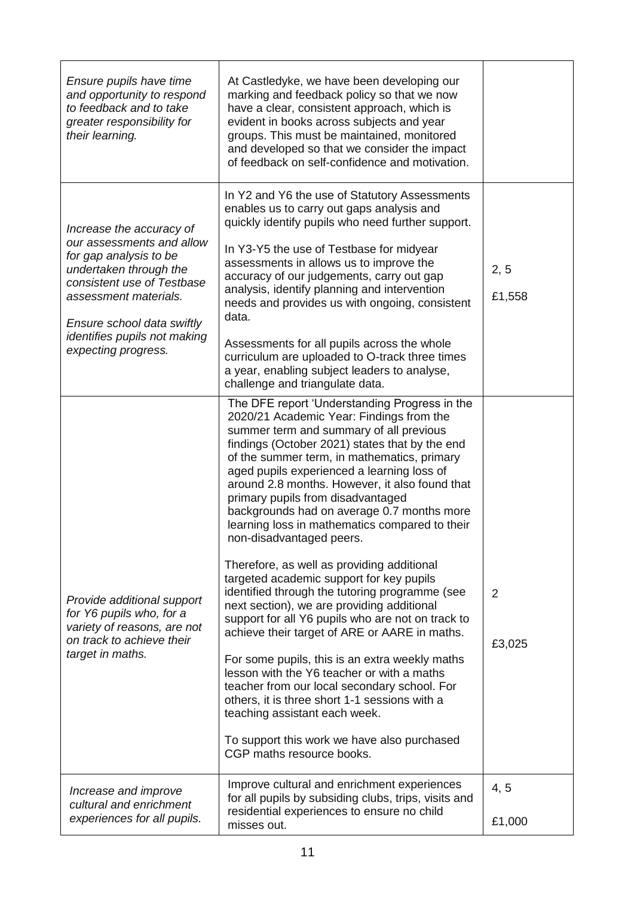| Ensure pupils have time<br>and opportunity to respond<br>to feedback and to take<br>greater responsibility for<br>their learning.                                                                                                                     | At Castledyke, we have been developing our<br>marking and feedback policy so that we now<br>have a clear, consistent approach, which is<br>evident in books across subjects and year<br>groups. This must be maintained, monitored<br>and developed so that we consider the impact<br>of feedback on self-confidence and motivation.                                                                                                                                                                                                                                                                                                                                                                                                                                                                                                                                                                                                                                                                                                                                                                                 |                |
|-------------------------------------------------------------------------------------------------------------------------------------------------------------------------------------------------------------------------------------------------------|----------------------------------------------------------------------------------------------------------------------------------------------------------------------------------------------------------------------------------------------------------------------------------------------------------------------------------------------------------------------------------------------------------------------------------------------------------------------------------------------------------------------------------------------------------------------------------------------------------------------------------------------------------------------------------------------------------------------------------------------------------------------------------------------------------------------------------------------------------------------------------------------------------------------------------------------------------------------------------------------------------------------------------------------------------------------------------------------------------------------|----------------|
| Increase the accuracy of<br>our assessments and allow<br>for gap analysis to be<br>undertaken through the<br>consistent use of Testbase<br>assessment materials.<br>Ensure school data swiftly<br>identifies pupils not making<br>expecting progress. | In Y2 and Y6 the use of Statutory Assessments<br>enables us to carry out gaps analysis and<br>quickly identify pupils who need further support.<br>In Y3-Y5 the use of Testbase for midyear<br>assessments in allows us to improve the<br>accuracy of our judgements, carry out gap<br>analysis, identify planning and intervention<br>needs and provides us with ongoing, consistent<br>data.<br>Assessments for all pupils across the whole<br>curriculum are uploaded to O-track three times<br>a year, enabling subject leaders to analyse,<br>challenge and triangulate data.                                                                                                                                                                                                                                                                                                                                                                                                                                                                                                                                   | 2, 5<br>£1,558 |
| Provide additional support<br>for Y6 pupils who, for a<br>variety of reasons, are not<br>on track to achieve their<br>target in maths.                                                                                                                | The DFE report 'Understanding Progress in the<br>2020/21 Academic Year: Findings from the<br>summer term and summary of all previous<br>findings (October 2021) states that by the end<br>of the summer term, in mathematics, primary<br>aged pupils experienced a learning loss of<br>around 2.8 months. However, it also found that<br>primary pupils from disadvantaged<br>backgrounds had on average 0.7 months more<br>learning loss in mathematics compared to their<br>non-disadvantaged peers.<br>Therefore, as well as providing additional<br>targeted academic support for key pupils<br>identified through the tutoring programme (see<br>next section), we are providing additional<br>support for all Y6 pupils who are not on track to<br>achieve their target of ARE or AARE in maths.<br>For some pupils, this is an extra weekly maths<br>lesson with the Y6 teacher or with a maths<br>teacher from our local secondary school. For<br>others, it is three short 1-1 sessions with a<br>teaching assistant each week.<br>To support this work we have also purchased<br>CGP maths resource books. | 2<br>£3,025    |
| Increase and improve<br>cultural and enrichment<br>experiences for all pupils.                                                                                                                                                                        | Improve cultural and enrichment experiences<br>for all pupils by subsiding clubs, trips, visits and<br>residential experiences to ensure no child<br>misses out.                                                                                                                                                                                                                                                                                                                                                                                                                                                                                                                                                                                                                                                                                                                                                                                                                                                                                                                                                     | 4, 5<br>£1,000 |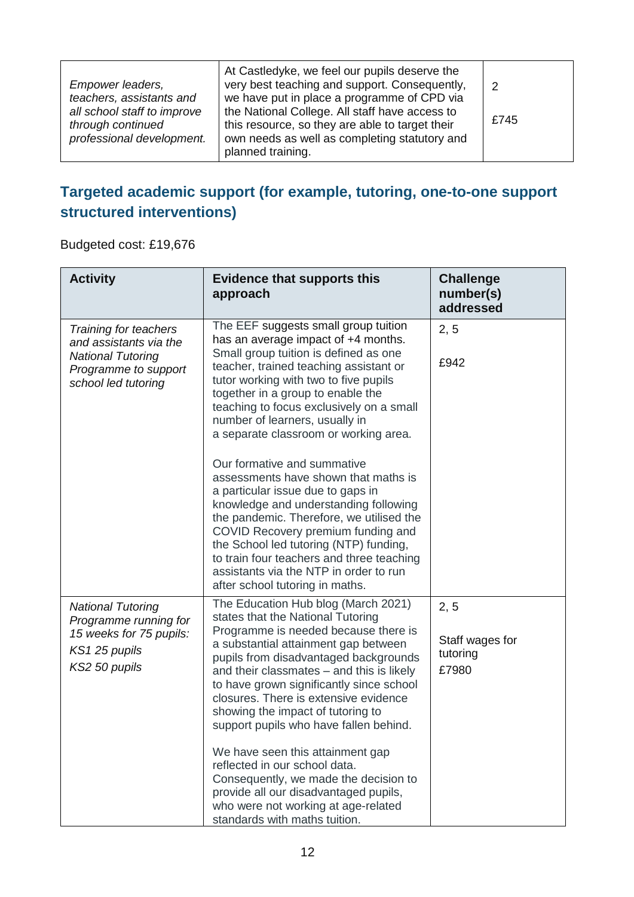| Empower leaders,<br>teachers, assistants and<br>all school staff to improve<br>through continued<br>professional development. | At Castledyke, we feel our pupils deserve the<br>very best teaching and support. Consequently,<br>we have put in place a programme of CPD via<br>the National College. All staff have access to<br>this resource, so they are able to target their<br>own needs as well as completing statutory and<br>planned training. | £745 |
|-------------------------------------------------------------------------------------------------------------------------------|--------------------------------------------------------------------------------------------------------------------------------------------------------------------------------------------------------------------------------------------------------------------------------------------------------------------------|------|
|-------------------------------------------------------------------------------------------------------------------------------|--------------------------------------------------------------------------------------------------------------------------------------------------------------------------------------------------------------------------------------------------------------------------------------------------------------------------|------|

### **Targeted academic support (for example, tutoring, one-to-one support structured interventions)**

Budgeted cost: £19,676

| <b>Activity</b>                                                                                                            | <b>Evidence that supports this</b><br>approach                                                                                                                                                                                                                                                                                                                                                                                                                                                                                                                                                                                                                                                                                                                                 | <b>Challenge</b><br>number(s)<br>addressed   |
|----------------------------------------------------------------------------------------------------------------------------|--------------------------------------------------------------------------------------------------------------------------------------------------------------------------------------------------------------------------------------------------------------------------------------------------------------------------------------------------------------------------------------------------------------------------------------------------------------------------------------------------------------------------------------------------------------------------------------------------------------------------------------------------------------------------------------------------------------------------------------------------------------------------------|----------------------------------------------|
| Training for teachers<br>and assistants via the<br><b>National Tutoring</b><br>Programme to support<br>school led tutoring | The EEF suggests small group tuition<br>has an average impact of +4 months.<br>Small group tuition is defined as one<br>teacher, trained teaching assistant or<br>tutor working with two to five pupils<br>together in a group to enable the<br>teaching to focus exclusively on a small<br>number of learners, usually in<br>a separate classroom or working area.<br>Our formative and summative<br>assessments have shown that maths is<br>a particular issue due to gaps in<br>knowledge and understanding following<br>the pandemic. Therefore, we utilised the<br>COVID Recovery premium funding and<br>the School led tutoring (NTP) funding,<br>to train four teachers and three teaching<br>assistants via the NTP in order to run<br>after school tutoring in maths. | 2, 5<br>£942                                 |
| <b>National Tutoring</b><br>Programme running for<br>15 weeks for 75 pupils:<br>KS1 25 pupils<br>KS2 50 pupils             | The Education Hub blog (March 2021)<br>states that the National Tutoring<br>Programme is needed because there is<br>a substantial attainment gap between<br>pupils from disadvantaged backgrounds<br>and their classmates - and this is likely<br>to have grown significantly since school<br>closures. There is extensive evidence<br>showing the impact of tutoring to<br>support pupils who have fallen behind.<br>We have seen this attainment gap<br>reflected in our school data.<br>Consequently, we made the decision to<br>provide all our disadvantaged pupils,<br>who were not working at age-related<br>standards with maths tuition.                                                                                                                              | 2, 5<br>Staff wages for<br>tutoring<br>£7980 |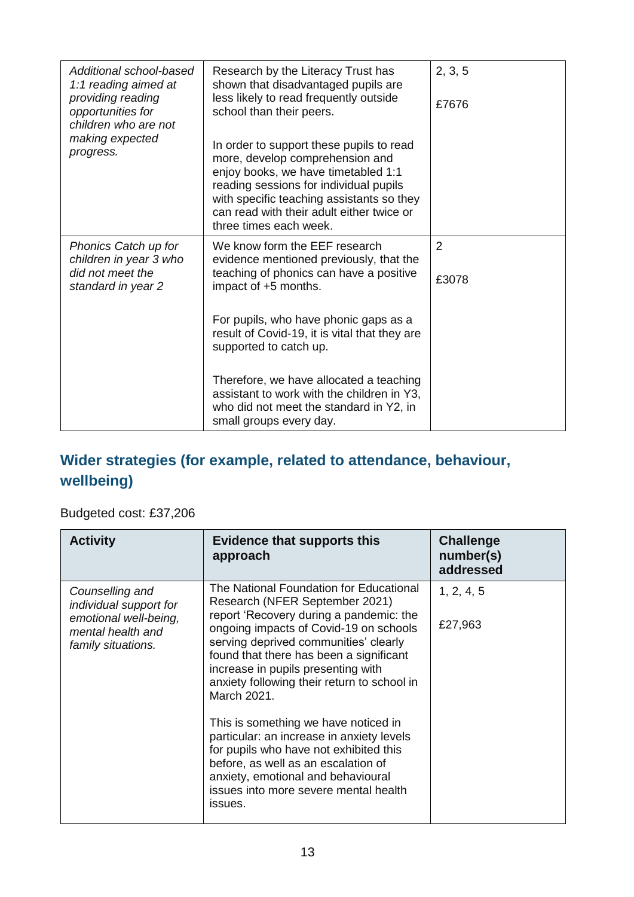| Additional school-based<br>1:1 reading aimed at<br>providing reading<br>opportunities for<br>children who are not | Research by the Literacy Trust has<br>shown that disadvantaged pupils are<br>less likely to read frequently outside<br>school than their peers.                                                                                                                                  | 2, 3, 5<br>£7676 |
|-------------------------------------------------------------------------------------------------------------------|----------------------------------------------------------------------------------------------------------------------------------------------------------------------------------------------------------------------------------------------------------------------------------|------------------|
| making expected<br>progress.                                                                                      | In order to support these pupils to read<br>more, develop comprehension and<br>enjoy books, we have timetabled 1:1<br>reading sessions for individual pupils<br>with specific teaching assistants so they<br>can read with their adult either twice or<br>three times each week. |                  |
| Phonics Catch up for<br>children in year 3 who<br>did not meet the<br>standard in year 2                          | We know form the EEF research<br>evidence mentioned previously, that the<br>teaching of phonics can have a positive<br>impact of +5 months.                                                                                                                                      | 2<br>£3078       |
|                                                                                                                   | For pupils, who have phonic gaps as a<br>result of Covid-19, it is vital that they are<br>supported to catch up.                                                                                                                                                                 |                  |
|                                                                                                                   | Therefore, we have allocated a teaching<br>assistant to work with the children in Y3,<br>who did not meet the standard in Y2, in<br>small groups every day.                                                                                                                      |                  |

### **Wider strategies (for example, related to attendance, behaviour, wellbeing)**

#### Budgeted cost: £37,206

| <b>Activity</b>                                                                                               | <b>Evidence that supports this</b><br>approach                                                                                                                                                                                                                                                                                                                                                                                                                                                                                                                                                                         | <b>Challenge</b><br>number(s)<br>addressed |
|---------------------------------------------------------------------------------------------------------------|------------------------------------------------------------------------------------------------------------------------------------------------------------------------------------------------------------------------------------------------------------------------------------------------------------------------------------------------------------------------------------------------------------------------------------------------------------------------------------------------------------------------------------------------------------------------------------------------------------------------|--------------------------------------------|
| Counselling and<br>individual support for<br>emotional well-being,<br>mental health and<br>family situations. | The National Foundation for Educational<br>Research (NFER September 2021)<br>report 'Recovery during a pandemic: the<br>ongoing impacts of Covid-19 on schools<br>serving deprived communities' clearly<br>found that there has been a significant<br>increase in pupils presenting with<br>anxiety following their return to school in<br>March 2021.<br>This is something we have noticed in<br>particular: an increase in anxiety levels<br>for pupils who have not exhibited this<br>before, as well as an escalation of<br>anxiety, emotional and behavioural<br>issues into more severe mental health<br>issues. | 1, 2, 4, 5<br>£27,963                      |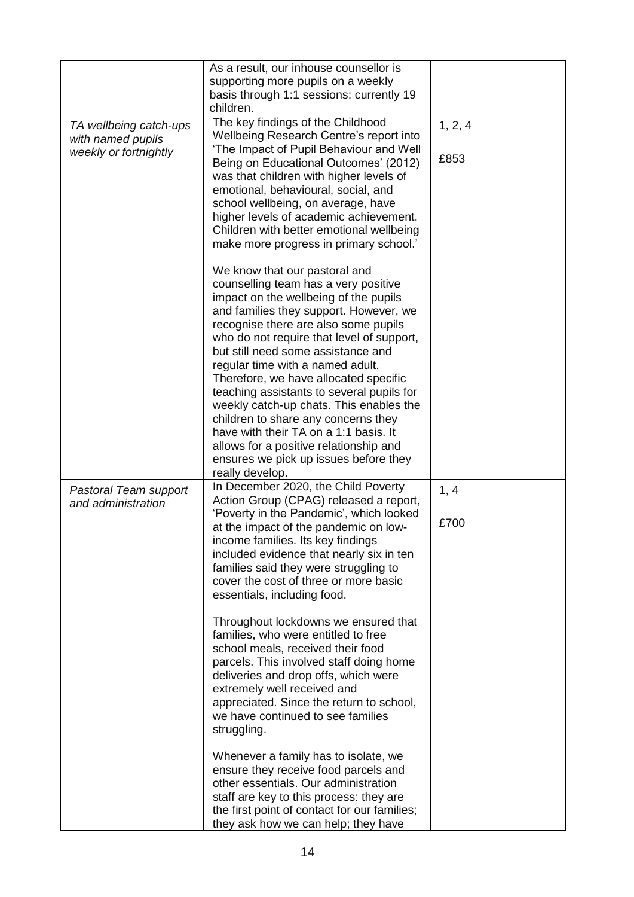|                                                                      | As a result, our inhouse counsellor is<br>supporting more pupils on a weekly<br>basis through 1:1 sessions: currently 19<br>children.                                                                                                                                                                                                                                                                                                                                                                                                                                                                                                          |                 |
|----------------------------------------------------------------------|------------------------------------------------------------------------------------------------------------------------------------------------------------------------------------------------------------------------------------------------------------------------------------------------------------------------------------------------------------------------------------------------------------------------------------------------------------------------------------------------------------------------------------------------------------------------------------------------------------------------------------------------|-----------------|
| TA wellbeing catch-ups<br>with named pupils<br>weekly or fortnightly | The key findings of the Childhood<br>Wellbeing Research Centre's report into<br>'The Impact of Pupil Behaviour and Well<br>Being on Educational Outcomes' (2012)<br>was that children with higher levels of<br>emotional, behavioural, social, and<br>school wellbeing, on average, have<br>higher levels of academic achievement.<br>Children with better emotional wellbeing<br>make more progress in primary school.'                                                                                                                                                                                                                       | 1, 2, 4<br>£853 |
|                                                                      | We know that our pastoral and<br>counselling team has a very positive<br>impact on the wellbeing of the pupils<br>and families they support. However, we<br>recognise there are also some pupils<br>who do not require that level of support,<br>but still need some assistance and<br>regular time with a named adult.<br>Therefore, we have allocated specific<br>teaching assistants to several pupils for<br>weekly catch-up chats. This enables the<br>children to share any concerns they<br>have with their TA on a 1:1 basis. It<br>allows for a positive relationship and<br>ensures we pick up issues before they<br>really develop. |                 |
| Pastoral Team support<br>and administration                          | In December 2020, the Child Poverty<br>Action Group (CPAG) released a report,<br>'Poverty in the Pandemic', which looked<br>at the impact of the pandemic on low-<br>income families. Its key findings<br>included evidence that nearly six in ten<br>families said they were struggling to<br>cover the cost of three or more basic<br>essentials, including food.<br>Throughout lockdowns we ensured that<br>families, who were entitled to free<br>school meals, received their food<br>parcels. This involved staff doing home<br>deliveries and drop offs, which were<br>extremely well received and                                      | 1, 4<br>£700    |
|                                                                      | appreciated. Since the return to school,<br>we have continued to see families<br>struggling.<br>Whenever a family has to isolate, we<br>ensure they receive food parcels and<br>other essentials. Our administration<br>staff are key to this process: they are<br>the first point of contact for our families;<br>they ask how we can help; they have                                                                                                                                                                                                                                                                                         |                 |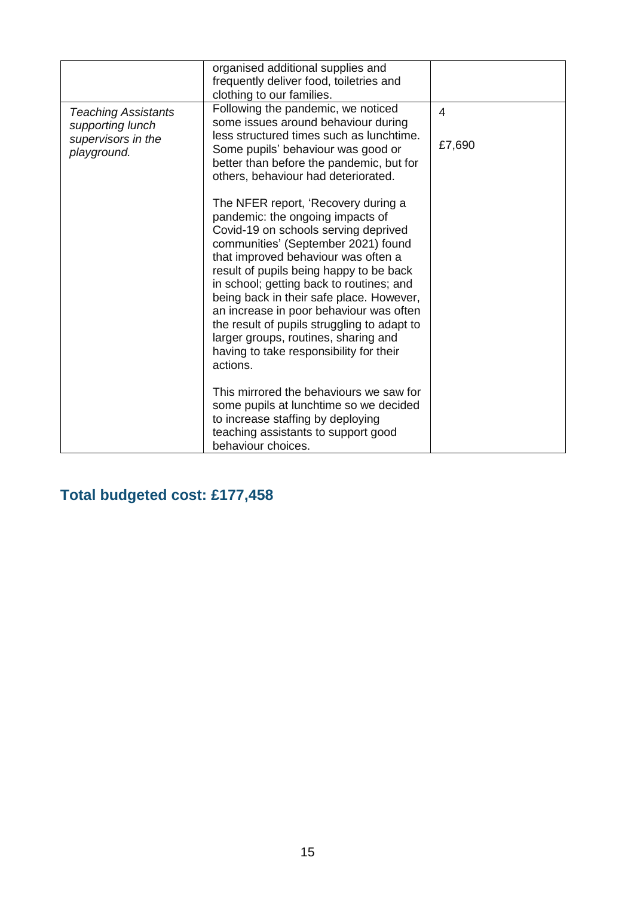|                                                                                     | organised additional supplies and<br>frequently deliver food, toiletries and<br>clothing to our families.                                                                                                                                                                                                                                                                                                                                       |                          |
|-------------------------------------------------------------------------------------|-------------------------------------------------------------------------------------------------------------------------------------------------------------------------------------------------------------------------------------------------------------------------------------------------------------------------------------------------------------------------------------------------------------------------------------------------|--------------------------|
| <b>Teaching Assistants</b><br>supporting lunch<br>supervisors in the<br>playground. | Following the pandemic, we noticed<br>some issues around behaviour during<br>less structured times such as lunchtime.<br>Some pupils' behaviour was good or<br>better than before the pandemic, but for<br>others, behaviour had deteriorated.<br>The NFER report, 'Recovery during a<br>pandemic: the ongoing impacts of<br>Covid-19 on schools serving deprived<br>communities' (September 2021) found<br>that improved behaviour was often a | $\overline{4}$<br>£7,690 |
|                                                                                     | result of pupils being happy to be back<br>in school; getting back to routines; and<br>being back in their safe place. However,<br>an increase in poor behaviour was often<br>the result of pupils struggling to adapt to<br>larger groups, routines, sharing and<br>having to take responsibility for their<br>actions.                                                                                                                        |                          |
|                                                                                     | This mirrored the behaviours we saw for<br>some pupils at lunchtime so we decided<br>to increase staffing by deploying<br>teaching assistants to support good<br>behaviour choices.                                                                                                                                                                                                                                                             |                          |

### **Total budgeted cost: £177,458**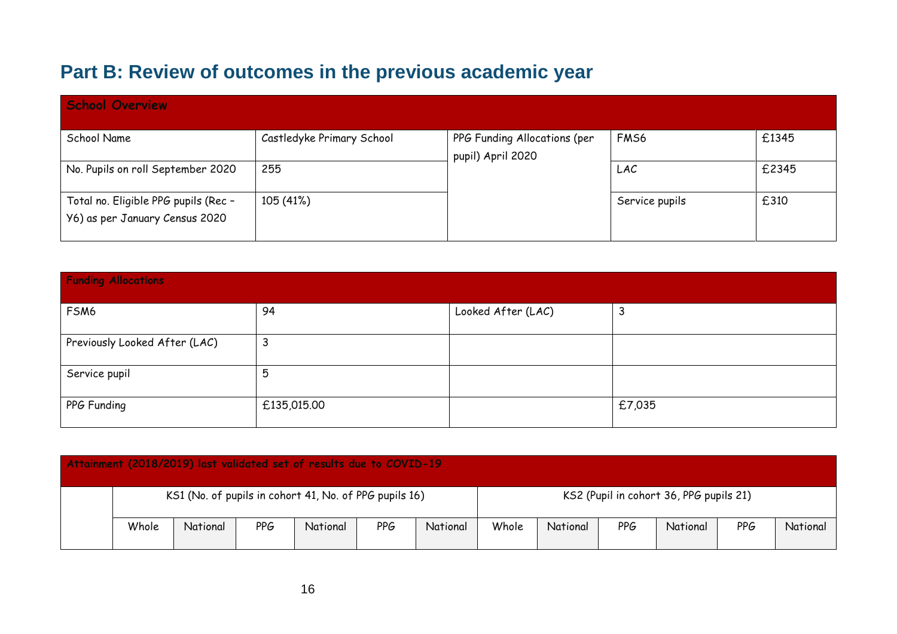# **Part B: Review of outcomes in the previous academic year**

| <b>School Overview</b>                                                 |                           |                                                   |                  |       |
|------------------------------------------------------------------------|---------------------------|---------------------------------------------------|------------------|-------|
| School Name                                                            | Castledyke Primary School | PPG Funding Allocations (per<br>pupil) April 2020 | FM <sub>S6</sub> | £1345 |
| No. Pupils on roll September 2020                                      | 255                       |                                                   | LAC              | £2345 |
| Total no. Eligible PPG pupils (Rec -<br>Y6) as per January Census 2020 | 105 (41%)                 |                                                   | Service pupils   | £310  |

| <b>Funding Allocations</b>    |             |                    |        |  |  |  |
|-------------------------------|-------------|--------------------|--------|--|--|--|
| FSM6                          | 94          | Looked After (LAC) | 3      |  |  |  |
| Previously Looked After (LAC) | 3           |                    |        |  |  |  |
| Service pupil                 | 5           |                    |        |  |  |  |
| PPG Funding                   | £135,015.00 |                    | £7,035 |  |  |  |

| Attainment (2018/2019) last validated set of results due to COVID-19 |       |          |            |          |            |          |       |          |                                         |          |     |          |
|----------------------------------------------------------------------|-------|----------|------------|----------|------------|----------|-------|----------|-----------------------------------------|----------|-----|----------|
| KS1 (No. of pupils in cohort 41, No. of PPG pupils 16)               |       |          |            |          |            |          |       |          | KS2 (Pupil in cohort 36, PPG pupils 21) |          |     |          |
|                                                                      | Whole | National | <b>PPG</b> | National | <b>PPG</b> | National | Whole | National | PPG                                     | National | PPG | National |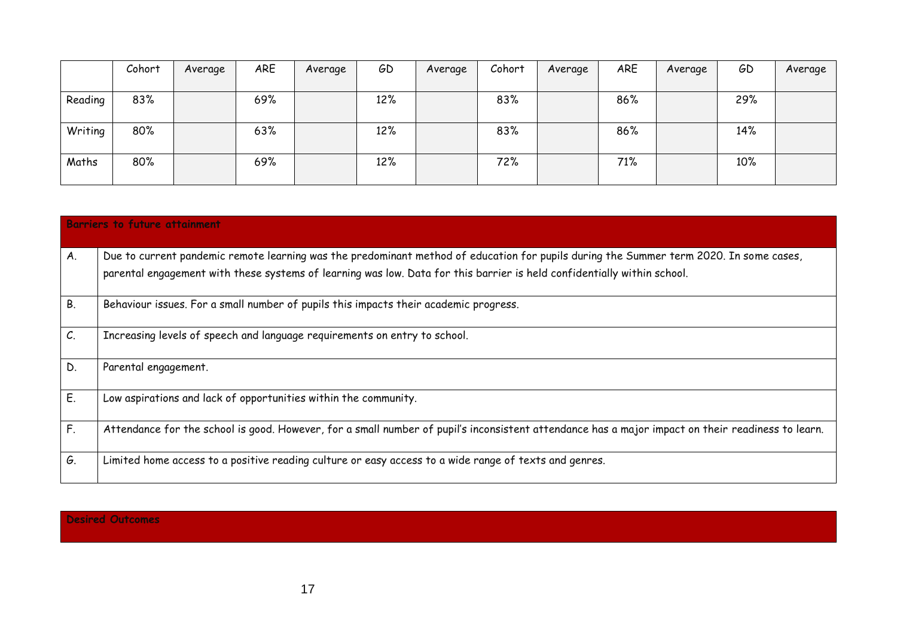|         | Cohort | Average | ARE | Average | GD  | Average | Cohort | Average | ARE | Average | GD  | Average |
|---------|--------|---------|-----|---------|-----|---------|--------|---------|-----|---------|-----|---------|
|         |        |         |     |         |     |         |        |         |     |         |     |         |
| Reading | 83%    |         | 69% |         | 12% |         | 83%    |         | 86% |         | 29% |         |
|         |        |         |     |         |     |         |        |         |     |         |     |         |
| Writing | 80%    |         | 63% |         | 12% |         | 83%    |         | 86% |         | 14% |         |
|         |        |         |     |         |     |         |        |         |     |         |     |         |
| Maths   | 80%    |         | 69% |         | 12% |         | 72%    |         | 71% |         | 10% |         |
|         |        |         |     |         |     |         |        |         |     |         |     |         |

|           | <b>Barriers to future attainment</b>                                                                                                                                                                                                                              |
|-----------|-------------------------------------------------------------------------------------------------------------------------------------------------------------------------------------------------------------------------------------------------------------------|
| A.        | Due to current pandemic remote learning was the predominant method of education for pupils during the Summer term 2020. In some cases,<br>parental engagement with these systems of learning was low. Data for this barrier is held confidentially within school. |
| <b>B.</b> | Behaviour issues. For a small number of pupils this impacts their academic progress.                                                                                                                                                                              |
| C.        | Increasing levels of speech and language requirements on entry to school.                                                                                                                                                                                         |
| D.        | Parental engagement.                                                                                                                                                                                                                                              |
| E.        | Low aspirations and lack of opportunities within the community.                                                                                                                                                                                                   |
| F.        | Attendance for the school is good. However, for a small number of pupil's inconsistent attendance has a major impact on their readiness to learn.                                                                                                                 |
| G.        | Limited home access to a positive reading culture or easy access to a wide range of texts and genres.                                                                                                                                                             |

#### **Desired Outcomes**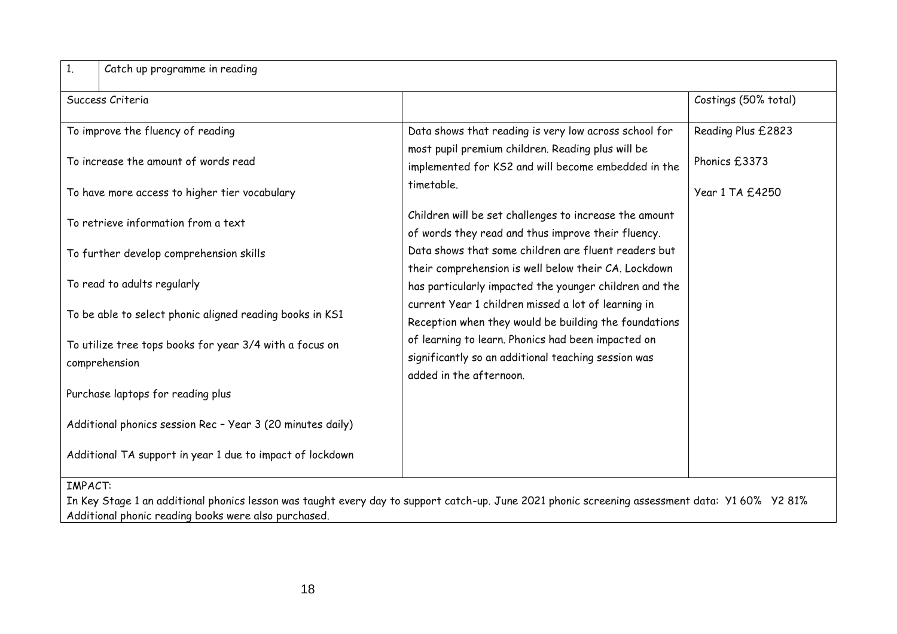| 1 <sub>1</sub><br>Catch up programme in reading                                                                                                                                                                           |                                                                                                                                      |                      |
|---------------------------------------------------------------------------------------------------------------------------------------------------------------------------------------------------------------------------|--------------------------------------------------------------------------------------------------------------------------------------|----------------------|
| Success Criteria                                                                                                                                                                                                          |                                                                                                                                      | Costings (50% total) |
| To improve the fluency of reading                                                                                                                                                                                         | Data shows that reading is very low across school for                                                                                | Reading Plus £2823   |
| To increase the amount of words read                                                                                                                                                                                      | most pupil premium children. Reading plus will be<br>implemented for KS2 and will become embedded in the                             | Phonics £3373        |
| To have more access to higher tier vocabulary                                                                                                                                                                             | timetable.                                                                                                                           | Year 1 TA £4250      |
| To retrieve information from a text                                                                                                                                                                                       | Children will be set challenges to increase the amount<br>of words they read and thus improve their fluency.                         |                      |
| To further develop comprehension skills                                                                                                                                                                                   | Data shows that some children are fluent readers but<br>their comprehension is well below their CA. Lockdown                         |                      |
| To read to adults regularly                                                                                                                                                                                               | has particularly impacted the younger children and the                                                                               |                      |
| To be able to select phonic aligned reading books in KS1                                                                                                                                                                  | current Year 1 children missed a lot of learning in<br>Reception when they would be building the foundations                         |                      |
| To utilize tree tops books for year 3/4 with a focus on<br>comprehension                                                                                                                                                  | of learning to learn. Phonics had been impacted on<br>significantly so an additional teaching session was<br>added in the afternoon. |                      |
| Purchase laptops for reading plus                                                                                                                                                                                         |                                                                                                                                      |                      |
| Additional phonics session Rec - Year 3 (20 minutes daily)                                                                                                                                                                |                                                                                                                                      |                      |
| Additional TA support in year 1 due to impact of lockdown                                                                                                                                                                 |                                                                                                                                      |                      |
| <b>IMPACT:</b><br>In Key Stage 1 an additional phonics lesson was taught every day to support catch-up. June 2021 phonic screening assessment data: Y1 60% Y2 81%<br>Additional phonic reading books were also purchased. |                                                                                                                                      |                      |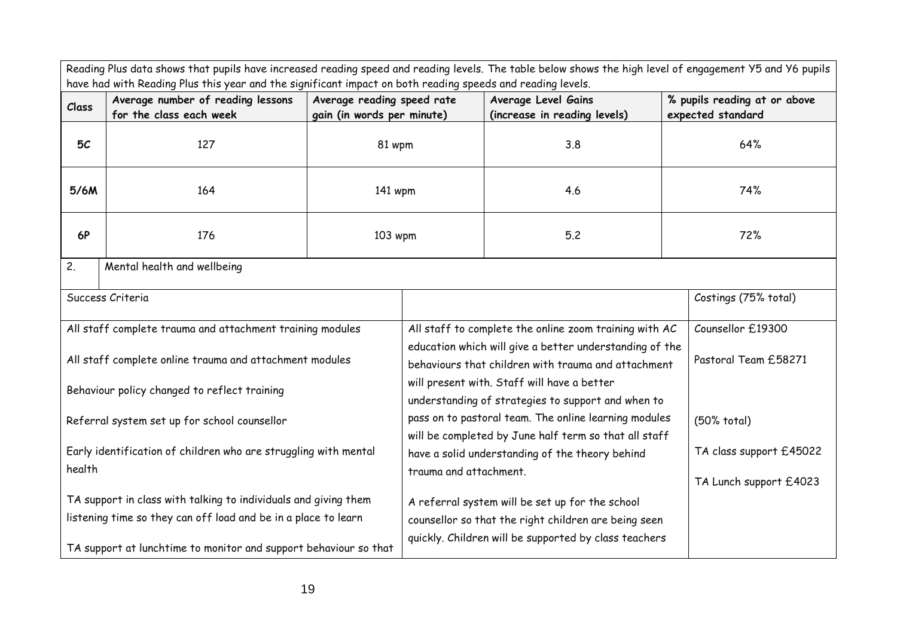| Reading Plus data shows that pupils have increased reading speed and reading levels. The table below shows the high level of engagement Y5 and Y6 pupils<br>have had with Reading Plus this year and the significant impact on both reading speeds and reading levels. |                                                              |                                                                                                                   |                                                                                                                                                                   |                                                                                                   |                         |                                                   |
|------------------------------------------------------------------------------------------------------------------------------------------------------------------------------------------------------------------------------------------------------------------------|--------------------------------------------------------------|-------------------------------------------------------------------------------------------------------------------|-------------------------------------------------------------------------------------------------------------------------------------------------------------------|---------------------------------------------------------------------------------------------------|-------------------------|---------------------------------------------------|
| Class                                                                                                                                                                                                                                                                  | Average number of reading lessons<br>for the class each week | Average reading speed rate<br>gain (in words per minute)                                                          |                                                                                                                                                                   | Average Level Gains<br>(increase in reading levels)                                               |                         | % pupils reading at or above<br>expected standard |
| 5 <sub>C</sub>                                                                                                                                                                                                                                                         | 127                                                          | 81 wpm                                                                                                            |                                                                                                                                                                   | 3.8                                                                                               |                         | 64%                                               |
| 5/6M                                                                                                                                                                                                                                                                   | 164                                                          | 141 wpm                                                                                                           |                                                                                                                                                                   | 4.6                                                                                               |                         | 74%                                               |
| <b>6P</b>                                                                                                                                                                                                                                                              | 176                                                          | 103 wpm                                                                                                           |                                                                                                                                                                   | 5.2                                                                                               |                         | 72%                                               |
| 2.                                                                                                                                                                                                                                                                     | Mental health and wellbeing                                  |                                                                                                                   |                                                                                                                                                                   |                                                                                                   |                         |                                                   |
| Success Criteria                                                                                                                                                                                                                                                       |                                                              |                                                                                                                   |                                                                                                                                                                   |                                                                                                   |                         | Costings (75% total)                              |
| All staff complete trauma and attachment training modules                                                                                                                                                                                                              |                                                              | All staff to complete the online zoom training with AC<br>education which will give a better understanding of the |                                                                                                                                                                   | Counsellor £19300                                                                                 |                         |                                                   |
| All staff complete online trauma and attachment modules                                                                                                                                                                                                                |                                                              |                                                                                                                   |                                                                                                                                                                   | behaviours that children with trauma and attachment                                               |                         | Pastoral Team £58271                              |
| Behaviour policy changed to reflect training                                                                                                                                                                                                                           |                                                              |                                                                                                                   |                                                                                                                                                                   | will present with. Staff will have a better<br>understanding of strategies to support and when to |                         |                                                   |
| Referral system set up for school counsellor                                                                                                                                                                                                                           |                                                              |                                                                                                                   | pass on to pastoral team. The online learning modules<br>will be completed by June half term so that all staff<br>have a solid understanding of the theory behind |                                                                                                   | (50% total)             |                                                   |
| Early identification of children who are struggling with mental                                                                                                                                                                                                        |                                                              |                                                                                                                   |                                                                                                                                                                   |                                                                                                   | TA class support £45022 |                                                   |
| health                                                                                                                                                                                                                                                                 |                                                              |                                                                                                                   | trauma and attachment.                                                                                                                                            |                                                                                                   |                         | TA Lunch support £4023                            |
| TA support in class with talking to individuals and giving them                                                                                                                                                                                                        |                                                              | A referral system will be set up for the school                                                                   |                                                                                                                                                                   |                                                                                                   |                         |                                                   |
| listening time so they can off load and be in a place to learn                                                                                                                                                                                                         |                                                              |                                                                                                                   | counsellor so that the right children are being seen                                                                                                              |                                                                                                   |                         |                                                   |
| TA support at lunchtime to monitor and support behaviour so that                                                                                                                                                                                                       |                                                              |                                                                                                                   |                                                                                                                                                                   | quickly. Children will be supported by class teachers                                             |                         |                                                   |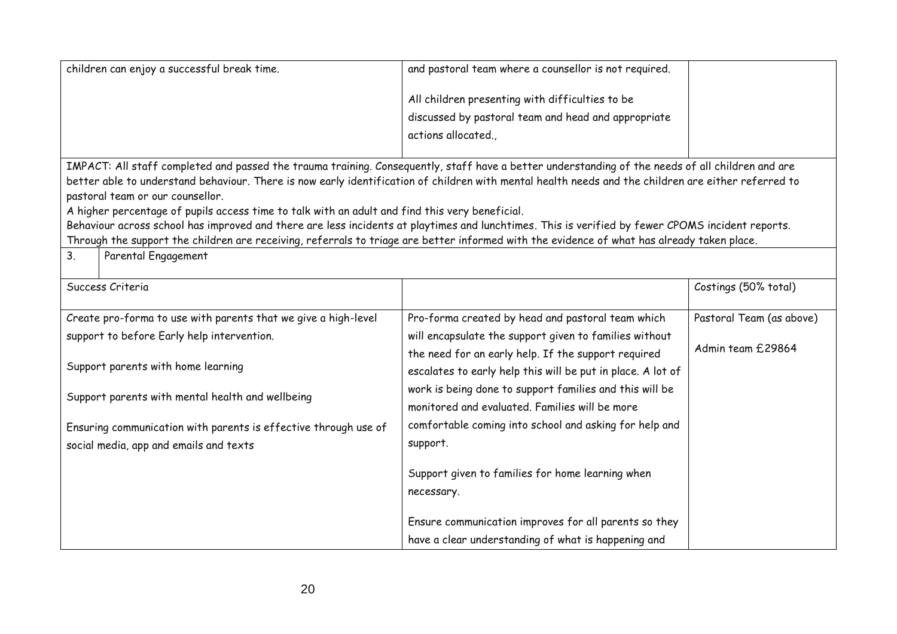| children can enjoy a successful break time.                     |                                                                                                                                                                                         | and pastoral team where a counsellor is not required.       |                          |
|-----------------------------------------------------------------|-----------------------------------------------------------------------------------------------------------------------------------------------------------------------------------------|-------------------------------------------------------------|--------------------------|
|                                                                 |                                                                                                                                                                                         | All children presenting with difficulties to be             |                          |
|                                                                 |                                                                                                                                                                                         | discussed by pastoral team and head and appropriate         |                          |
|                                                                 |                                                                                                                                                                                         | actions allocated.,                                         |                          |
|                                                                 |                                                                                                                                                                                         |                                                             |                          |
|                                                                 | IMPACT: All staff completed and passed the trauma training. Consequently, staff have a better understanding of the needs of all children and are                                        |                                                             |                          |
|                                                                 | better able to understand behaviour. There is now early identification of children with mental health needs and the children are either referred to<br>pastoral team or our counsellor. |                                                             |                          |
|                                                                 | A higher percentage of pupils access time to talk with an adult and find this very beneficial.                                                                                          |                                                             |                          |
|                                                                 | Behaviour across school has improved and there are less incidents at playtimes and lunchtimes. This is verified by fewer CPOMS incident reports.                                        |                                                             |                          |
|                                                                 | Through the support the children are receiving, referrals to triage are better informed with the evidence of what has already taken place.                                              |                                                             |                          |
| 3.                                                              | Parental Engagement                                                                                                                                                                     |                                                             |                          |
|                                                                 | Success Criteria                                                                                                                                                                        |                                                             | Costings (50% total)     |
|                                                                 | Create pro-forma to use with parents that we give a high-level                                                                                                                          | Pro-forma created by head and pastoral team which           | Pastoral Team (as above) |
|                                                                 | support to before Early help intervention.                                                                                                                                              | will encapsulate the support given to families without      |                          |
|                                                                 |                                                                                                                                                                                         | the need for an early help. If the support required         | Admin team £29864        |
| Support parents with home learning                              |                                                                                                                                                                                         | escalates to early help this will be put in place. A lot of |                          |
| Support parents with mental health and wellbeing                |                                                                                                                                                                                         | work is being done to support families and this will be     |                          |
|                                                                 |                                                                                                                                                                                         | monitored and evaluated. Families will be more              |                          |
| Ensuring communication with parents is effective through use of |                                                                                                                                                                                         | comfortable coming into school and asking for help and      |                          |
| social media, app and emails and texts                          |                                                                                                                                                                                         | support.                                                    |                          |
|                                                                 |                                                                                                                                                                                         |                                                             |                          |
|                                                                 |                                                                                                                                                                                         | Support given to families for home learning when            |                          |
|                                                                 |                                                                                                                                                                                         | necessary.                                                  |                          |
|                                                                 |                                                                                                                                                                                         | Ensure communication improves for all parents so they       |                          |
|                                                                 |                                                                                                                                                                                         | have a clear understanding of what is happening and         |                          |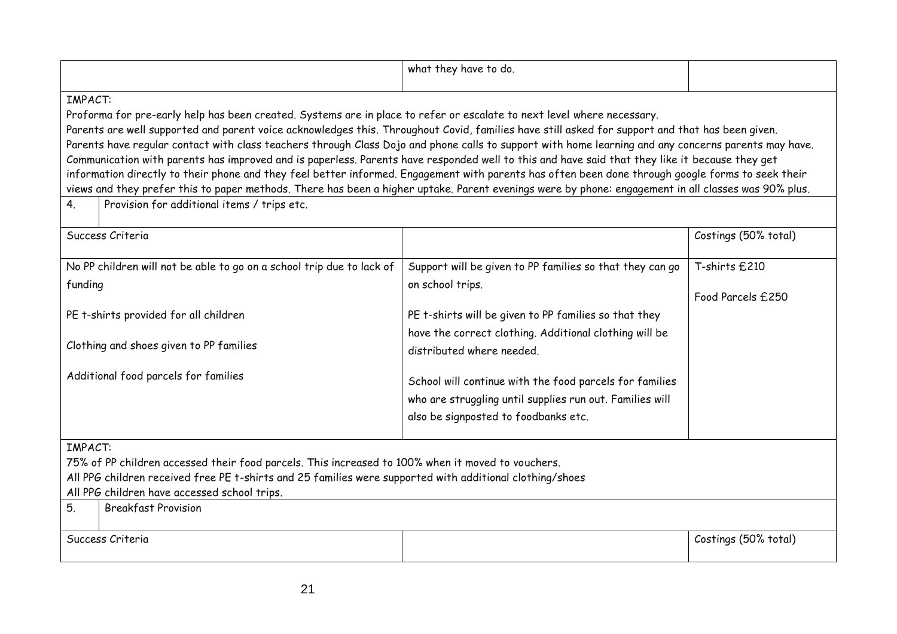|                                                                                                                                                                                                                                                                                                                                                                                                                                                                                                                                                                                                                                                                                                                                                                                                                                                                                                                                                                             |                                      | what they have to do.                                                                                                                                       |                                    |  |
|-----------------------------------------------------------------------------------------------------------------------------------------------------------------------------------------------------------------------------------------------------------------------------------------------------------------------------------------------------------------------------------------------------------------------------------------------------------------------------------------------------------------------------------------------------------------------------------------------------------------------------------------------------------------------------------------------------------------------------------------------------------------------------------------------------------------------------------------------------------------------------------------------------------------------------------------------------------------------------|--------------------------------------|-------------------------------------------------------------------------------------------------------------------------------------------------------------|------------------------------------|--|
| IMPACT:<br>Proforma for pre-early help has been created. Systems are in place to refer or escalate to next level where necessary.<br>Parents are well supported and parent voice acknowledges this. Throughout Covid, families have still asked for support and that has been given.<br>Parents have regular contact with class teachers through Class Dojo and phone calls to support with home learning and any concerns parents may have.<br>Communication with parents has improved and is paperless. Parents have responded well to this and have said that they like it because they get<br>information directly to their phone and they feel better informed. Engagement with parents has often been done through google forms to seek their<br>views and they prefer this to paper methods. There has been a higher uptake. Parent evenings were by phone: engagement in all classes was 90% plus.<br>Provision for additional items / trips etc.<br>4 <sub>1</sub> |                                      |                                                                                                                                                             |                                    |  |
|                                                                                                                                                                                                                                                                                                                                                                                                                                                                                                                                                                                                                                                                                                                                                                                                                                                                                                                                                                             | Success Criteria                     |                                                                                                                                                             | Costings (50% total)               |  |
| No PP children will not be able to go on a school trip due to lack of<br>funding                                                                                                                                                                                                                                                                                                                                                                                                                                                                                                                                                                                                                                                                                                                                                                                                                                                                                            |                                      | Support will be given to PP families so that they can go<br>on school trips.                                                                                | T-shirts £210<br>Food Parcels £250 |  |
| PE t-shirts provided for all children<br>Clothing and shoes given to PP families                                                                                                                                                                                                                                                                                                                                                                                                                                                                                                                                                                                                                                                                                                                                                                                                                                                                                            |                                      | PE t-shirts will be given to PP families so that they<br>have the correct clothing. Additional clothing will be<br>distributed where needed.                |                                    |  |
|                                                                                                                                                                                                                                                                                                                                                                                                                                                                                                                                                                                                                                                                                                                                                                                                                                                                                                                                                                             | Additional food parcels for families | School will continue with the food parcels for families<br>who are struggling until supplies run out. Families will<br>also be signposted to foodbanks etc. |                                    |  |
| IMPACT:<br>75% of PP children accessed their food parcels. This increased to 100% when it moved to vouchers.<br>All PPG children received free PE t-shirts and 25 families were supported with additional clothing/shoes<br>All PPG children have accessed school trips.                                                                                                                                                                                                                                                                                                                                                                                                                                                                                                                                                                                                                                                                                                    |                                      |                                                                                                                                                             |                                    |  |
| 5.                                                                                                                                                                                                                                                                                                                                                                                                                                                                                                                                                                                                                                                                                                                                                                                                                                                                                                                                                                          | <b>Breakfast Provision</b>           |                                                                                                                                                             |                                    |  |
|                                                                                                                                                                                                                                                                                                                                                                                                                                                                                                                                                                                                                                                                                                                                                                                                                                                                                                                                                                             | Success Criteria                     |                                                                                                                                                             | Costings (50% total)               |  |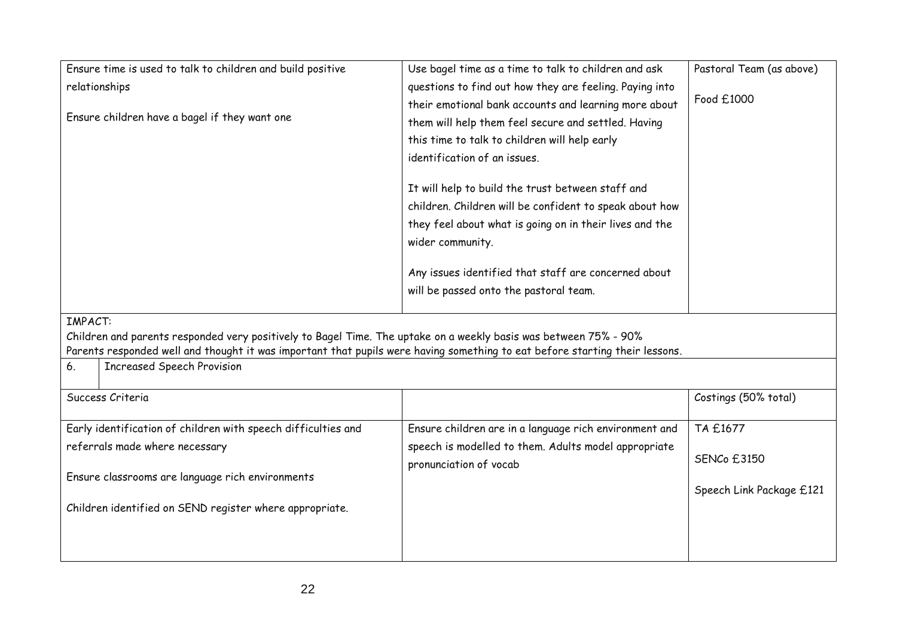| Ensure time is used to talk to children and build positive                                                                                                                                                                                                                                                   | Use bagel time as a time to talk to children and ask    | Pastoral Team (as above) |
|--------------------------------------------------------------------------------------------------------------------------------------------------------------------------------------------------------------------------------------------------------------------------------------------------------------|---------------------------------------------------------|--------------------------|
| relationships                                                                                                                                                                                                                                                                                                | questions to find out how they are feeling. Paying into |                          |
|                                                                                                                                                                                                                                                                                                              | their emotional bank accounts and learning more about   | Food £1000               |
| Ensure children have a bagel if they want one                                                                                                                                                                                                                                                                | them will help them feel secure and settled. Having     |                          |
|                                                                                                                                                                                                                                                                                                              | this time to talk to children will help early           |                          |
|                                                                                                                                                                                                                                                                                                              | identification of an issues.                            |                          |
|                                                                                                                                                                                                                                                                                                              | It will help to build the trust between staff and       |                          |
|                                                                                                                                                                                                                                                                                                              | children. Children will be confident to speak about how |                          |
|                                                                                                                                                                                                                                                                                                              | they feel about what is going on in their lives and the |                          |
|                                                                                                                                                                                                                                                                                                              | wider community.                                        |                          |
|                                                                                                                                                                                                                                                                                                              | Any issues identified that staff are concerned about    |                          |
|                                                                                                                                                                                                                                                                                                              | will be passed onto the pastoral team.                  |                          |
| <b>IMPACT:</b><br>Children and parents responded very positively to Bagel Time. The uptake on a weekly basis was between 75% - 90%<br>Parents responded well and thought it was important that pupils were having something to eat before starting their lessons.<br><b>Increased Speech Provision</b><br>6. |                                                         |                          |
| Success Criteria                                                                                                                                                                                                                                                                                             |                                                         | Costings (50% total)     |
|                                                                                                                                                                                                                                                                                                              |                                                         |                          |
| Early identification of children with speech difficulties and                                                                                                                                                                                                                                                | Ensure children are in a language rich environment and  | TA £1677                 |
| referrals made where necessary                                                                                                                                                                                                                                                                               | speech is modelled to them. Adults model appropriate    |                          |
|                                                                                                                                                                                                                                                                                                              | pronunciation of vocab                                  | <b>SENCo £3150</b>       |
| Ensure classrooms are language rich environments                                                                                                                                                                                                                                                             |                                                         | Speech Link Package £121 |
| Children identified on SEND register where appropriate.                                                                                                                                                                                                                                                      |                                                         |                          |
|                                                                                                                                                                                                                                                                                                              |                                                         |                          |
|                                                                                                                                                                                                                                                                                                              |                                                         |                          |
|                                                                                                                                                                                                                                                                                                              |                                                         |                          |